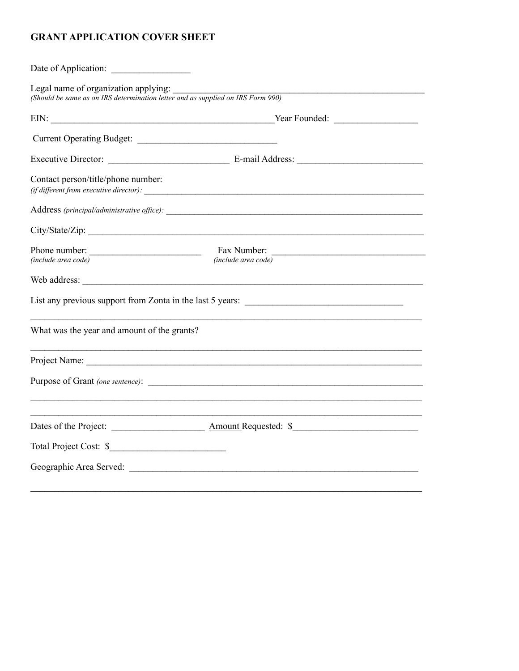# **GRANT APPLICATION COVER SHEET**

| Current Operating Budget:                                                                                                                                                                                                      |                                                                                                                    |
|--------------------------------------------------------------------------------------------------------------------------------------------------------------------------------------------------------------------------------|--------------------------------------------------------------------------------------------------------------------|
|                                                                                                                                                                                                                                |                                                                                                                    |
| Contact person/title/phone number:                                                                                                                                                                                             | $(iif$ different from executive director): $\frac{1}{1}$                                                           |
|                                                                                                                                                                                                                                |                                                                                                                    |
|                                                                                                                                                                                                                                |                                                                                                                    |
| Phone number:<br>$(include\ area\ code)$                                                                                                                                                                                       | Fax Number:<br><u> 1989 - Johann John Stein, mars an deus Amerikaansk kommunister (</u><br>$(include\ area\ code)$ |
|                                                                                                                                                                                                                                |                                                                                                                    |
|                                                                                                                                                                                                                                |                                                                                                                    |
| What was the year and amount of the grants?                                                                                                                                                                                    |                                                                                                                    |
|                                                                                                                                                                                                                                | ,我们也不会有什么。""我们的人,我们也不会有什么?""我们的人,我们也不会有什么?""我们的人,我们也不会有什么?""我们的人,我们也不会有什么?""我们的人                                   |
|                                                                                                                                                                                                                                |                                                                                                                    |
|                                                                                                                                                                                                                                |                                                                                                                    |
| Total Project Cost: \$                                                                                                                                                                                                         |                                                                                                                    |
| Geographic Area Served: Law Contract Contract Contract Contract Contract Contract Contract Contract Contract Contract Contract Contract Contract Contract Contract Contract Contract Contract Contract Contract Contract Contr |                                                                                                                    |
|                                                                                                                                                                                                                                |                                                                                                                    |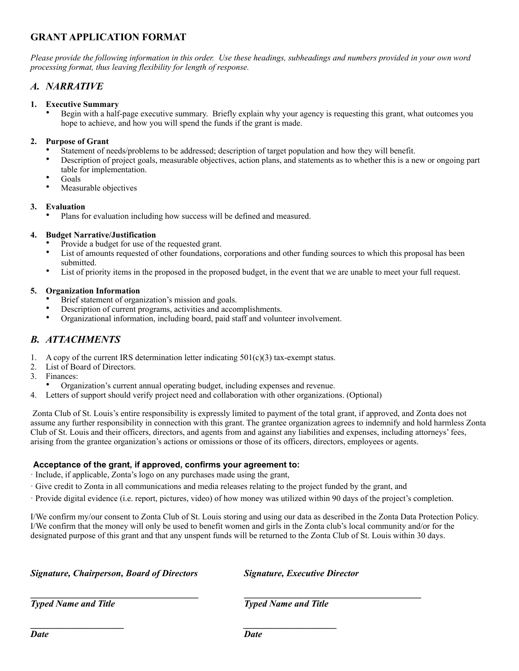# **GRANT APPLICATION FORMAT**

*Please provide the following information in this order. Use these headings, subheadings and numbers provided in your own word processing format, thus leaving flexibility for length of response.*

### *A. NARRATIVE*

#### **1. Executive Summary**

• Begin with a half-page executive summary. Briefly explain why your agency is requesting this grant, what outcomes you hope to achieve, and how you will spend the funds if the grant is made.

#### **2. Purpose of Grant**

- Statement of needs/problems to be addressed; description of target population and how they will benefit.
- Description of project goals, measurable objectives, action plans, and statements as to whether this is a new or ongoing part table for implementation.
- Goals
- Measurable objectives

#### **3. Evaluation**

• Plans for evaluation including how success will be defined and measured.

#### **4. Budget Narrative/Justification**

- Provide a budget for use of the requested grant.
- List of amounts requested of other foundations, corporations and other funding sources to which this proposal has been submitted.
- List of priority items in the proposed in the proposed budget, in the event that we are unable to meet your full request.

#### **5. Organization Information**

- Brief statement of organization's mission and goals.
- Description of current programs, activities and accomplishments.
- Organizational information, including board, paid staff and volunteer involvement.

### *B. ATTACHMENTS*

- 1. A copy of the current IRS determination letter indicating  $501(c)(3)$  tax-exempt status.
- 2. List of Board of Directors.
- 3. Finances:
- Organization's current annual operating budget, including expenses and revenue.

**\_\_\_\_\_\_\_\_\_\_\_\_\_\_\_\_\_\_\_\_** *\_\_\_\_\_\_\_\_\_\_\_\_\_\_\_\_\_\_\_\_* 

4. Letters of support should verify project need and collaboration with other organizations. (Optional)

 Zonta Club of St. Louis's entire responsibility is expressly limited to payment of the total grant, if approved, and Zonta does not assume any further responsibility in connection with this grant. The grantee organization agrees to indemnify and hold harmless Zonta Club of St. Louis and their officers, directors, and agents from and against any liabilities and expenses, including attorneys' fees, arising from the grantee organization's actions or omissions or those of its officers, directors, employees or agents.

#### **Acceptance of the grant, if approved, confirms your agreement to:**

· Include, if applicable, Zonta's logo on any purchases made using the grant,

· Give credit to Zonta in all communications and media releases relating to the project funded by the grant, and

**\_\_\_\_\_\_\_\_\_\_\_\_\_\_\_\_\_\_\_\_\_\_\_\_\_\_\_\_\_\_\_\_\_\_\_\_ \_\_\_\_\_\_\_\_\_\_\_\_\_\_\_\_\_\_\_\_\_\_\_\_\_\_\_\_\_\_\_\_\_\_\_\_\_\_** 

· Provide digital evidence (i.e. report, pictures, video) of how money was utilized within 90 days of the project's completion.

I/We confirm my/our consent to Zonta Club of St. Louis storing and using our data as described in the Zonta Data Protection Policy. I/We confirm that the money will only be used to benefit women and girls in the Zonta club's local community and/or for the designated purpose of this grant and that any unspent funds will be returned to the Zonta Club of St. Louis within 30 days.

*Signature, Chairperson, Board of Directors Signature, Executive Director* 

*Typed Name and Title* The Typed Name and Title **Typed Name and Title** 

*Date Date*